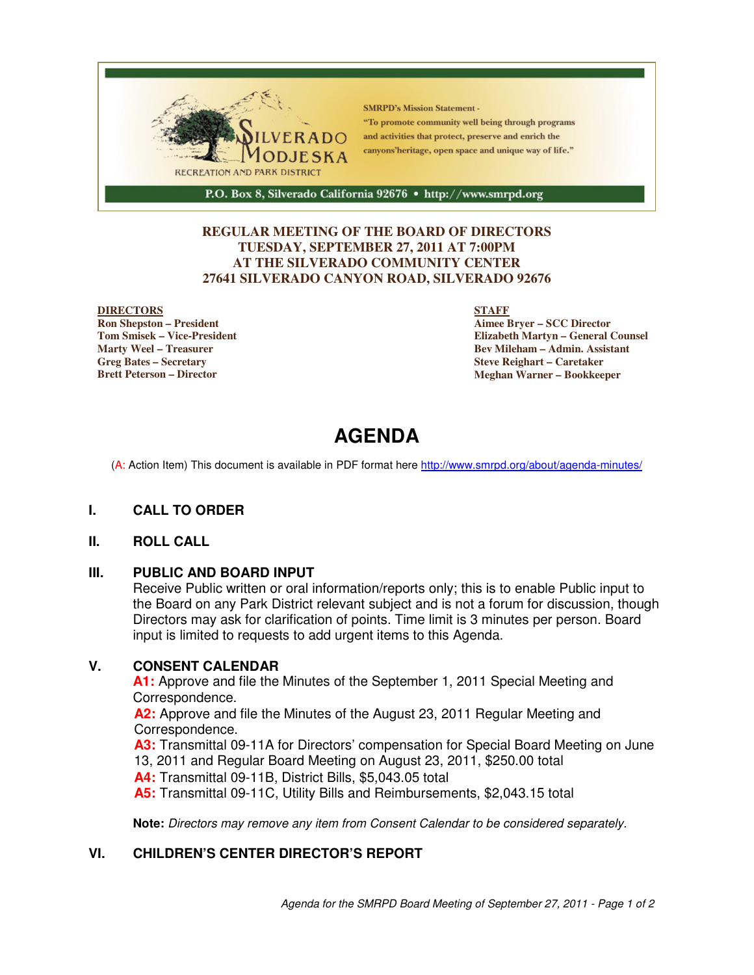

#### **REGULAR MEETING OF THE BOARD OF DIRECTORS TUESDAY, SEPTEMBER 27, 2011 AT 7:00PM AT THE SILVERADO COMMUNITY CENTER 27641 SILVERADO CANYON ROAD, SILVERADO 92676**

#### **DIRECTORS**

**Ron Shepston – President Tom Smisek – Vice-President Marty Weel – Treasurer Greg Bates – Secretary Brett Peterson – Director**

#### **STAFF**

**Aimee Bryer – SCC Director Elizabeth Martyn – General Counsel Bev Mileham – Admin. Assistant Steve Reighart – Caretaker Meghan Warner – Bookkeeper**

# **AGENDA**

(A: Action Item) This document is available in PDF format here http://www.smrpd.org/about/agenda-minutes/

#### **I. CALL TO ORDER**

#### **II. ROLL CALL**

#### **III. PUBLIC AND BOARD INPUT**

Receive Public written or oral information/reports only; this is to enable Public input to the Board on any Park District relevant subject and is not a forum for discussion, though Directors may ask for clarification of points. Time limit is 3 minutes per person. Board input is limited to requests to add urgent items to this Agenda.

#### **V. CONSENT CALENDAR**

**A1:** Approve and file the Minutes of the September 1, 2011 Special Meeting and Correspondence.

**A2:** Approve and file the Minutes of the August 23, 2011 Regular Meeting and Correspondence.

**A3:** Transmittal 09-11A for Directors' compensation for Special Board Meeting on June 13, 2011 and Regular Board Meeting on August 23, 2011, \$250.00 total

**A4:** Transmittal 09-11B, District Bills, \$5,043.05 total

**A5:** Transmittal 09-11C, Utility Bills and Reimbursements, \$2,043.15 total

**Note:** Directors may remove any item from Consent Calendar to be considered separately.

#### **VI. CHILDREN'S CENTER DIRECTOR'S REPORT**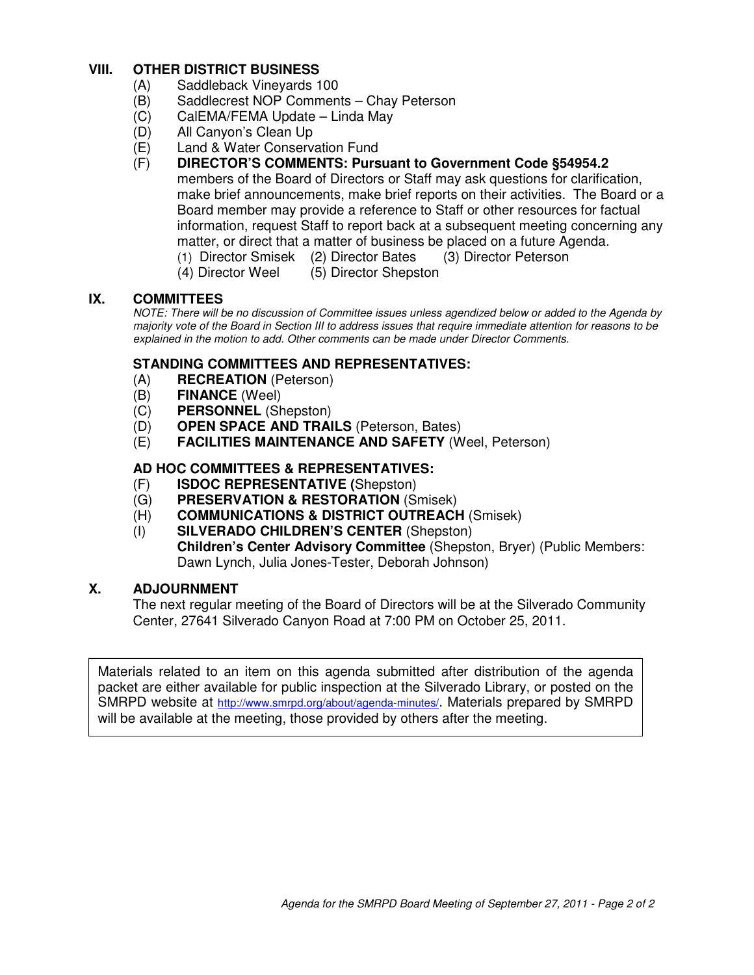# **VIII. OTHER DISTRICT BUSINESS**

- (A) Saddleback Vineyards 100
- (B) Saddlecrest NOP Comments Chay Peterson
- (C) CalEMA/FEMA Update Linda May
- (D) All Canyon's Clean Up
- (E) Land & Water Conservation Fund
- (F) **DIRECTOR'S COMMENTS: Pursuant to Government Code §54954.2** members of the Board of Directors or Staff may ask questions for clarification, make brief announcements, make brief reports on their activities. The Board or a Board member may provide a reference to Staff or other resources for factual information, request Staff to report back at a subsequent meeting concerning any matter, or direct that a matter of business be placed on a future Agenda.
	- (1) Director Smisek (2) Director Bates (3) Director Peterson
		- (4) Director Weel (5) Director Shepston

# **IX. COMMITTEES**

NOTE: There will be no discussion of Committee issues unless agendized below or added to the Agenda by majority vote of the Board in Section III to address issues that require immediate attention for reasons to be explained in the motion to add. Other comments can be made under Director Comments.

#### **STANDING COMMITTEES AND REPRESENTATIVES:**

- (A) **RECREATION** (Peterson)
- (B) **FINANCE** (Weel)
- (C) **PERSONNEL** (Shepston)
- (D) **OPEN SPACE AND TRAILS** (Peterson, Bates)
- (E) **FACILITIES MAINTENANCE AND SAFETY** (Weel, Peterson)

#### **AD HOC COMMITTEES & REPRESENTATIVES:**

- (F) **ISDOC REPRESENTATIVE (**Shepston)
- (G) **PRESERVATION & RESTORATION** (Smisek)
- (H) **COMMUNICATIONS & DISTRICT OUTREACH** (Smisek)
- (I) **SILVERADO CHILDREN'S CENTER** (Shepston) **Children's Center Advisory Committee** (Shepston, Bryer) (Public Members: Dawn Lynch, Julia Jones-Tester, Deborah Johnson)

#### **X. ADJOURNMENT**

The next regular meeting of the Board of Directors will be at the Silverado Community Center, 27641 Silverado Canyon Road at 7:00 PM on October 25, 2011.

Materials related to an item on this agenda submitted after distribution of the agenda packet are either available for public inspection at the Silverado Library, or posted on the SMRPD website at http://www.smrpd.org/about/agenda-minutes/. Materials prepared by SMRPD will be available at the meeting, those provided by others after the meeting.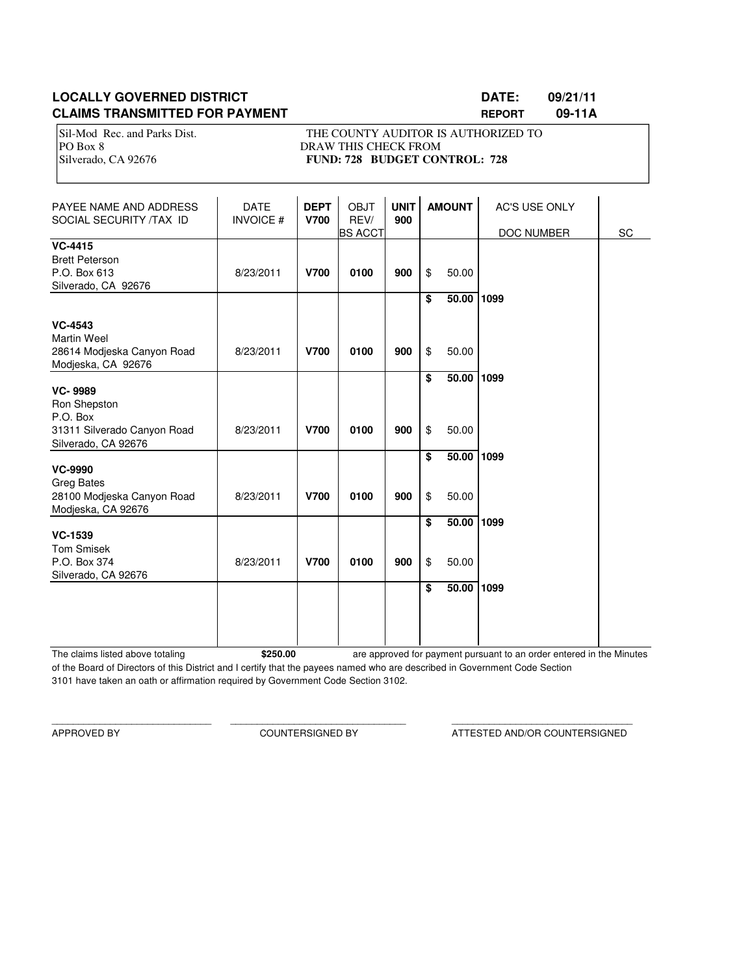# **LOCALLY GOVERNED DISTRICT LATE: 09/21/11 CLAIMS TRANSMITTED FOR PAYMENT REPORT 09-11A**

Sil-Mod Rec. and Parks Dist. THE COUNTY AUDITOR IS AUTHORIZED TO PO Box 8 DRAW THIS CHECK FROM Silverado, CA 92676 **FUND: 728 BUDGET CONTROL: 728** 

| PAYEE NAME AND ADDRESS<br>SOCIAL SECURITY /TAX ID                                       | <b>DATE</b><br><b>INVOICE#</b> | <b>DEPT</b><br><b>V700</b> | <b>OBJT</b><br>REV/<br><b>BS ACCT</b> | <b>UNIT</b><br>900 | <b>AMOUNT</b> |                | AC'S USE ONLY<br>DOC NUMBER | SC |
|-----------------------------------------------------------------------------------------|--------------------------------|----------------------------|---------------------------------------|--------------------|---------------|----------------|-----------------------------|----|
| <b>VC-4415</b><br><b>Brett Peterson</b><br>P.O. Box 613<br>Silverado, CA 92676          | 8/23/2011                      | <b>V700</b>                | 0100                                  | 900                | \$            | 50.00          |                             |    |
| <b>VC-4543</b><br><b>Martin Weel</b><br>28614 Modjeska Canyon Road                      | 8/23/2011                      | <b>V700</b>                | 0100                                  | 900                | \$<br>\$      | 50.00<br>50.00 | 1099                        |    |
| Modjeska, CA 92676<br><b>VC-9989</b><br>Ron Shepston<br>P.O. Box                        |                                |                            |                                       |                    | \$            | 50.00          | 1099                        |    |
| 31311 Silverado Canyon Road<br>Silverado, CA 92676                                      | 8/23/2011                      | <b>V700</b>                | 0100                                  | 900                | \$<br>\$      | 50.00<br>50.00 | 1099                        |    |
| <b>VC-9990</b><br><b>Greg Bates</b><br>28100 Modjeska Canyon Road<br>Modjeska, CA 92676 | 8/23/2011                      | <b>V700</b>                | 0100                                  | 900                | \$            | 50.00          |                             |    |
| <b>VC-1539</b><br><b>Tom Smisek</b><br>P.O. Box 374<br>Silverado, CA 92676              | 8/23/2011                      | <b>V700</b>                | 0100                                  | 900                | \$<br>\$      | 50.00<br>50.00 | 1099                        |    |
|                                                                                         |                                |                            |                                       |                    | \$            | 50.00          | 1099                        |    |

The claims listed above totaling **\$250.00** of the Board of Directors of this District and I certify that the payees named who are described in Government Code Section 3101 have taken an oath or affirmation required by Government Code Section 3102. are approved for payment pursuant to an order entered in the Minutes

\_\_\_\_\_\_\_\_\_\_\_\_\_\_\_\_\_\_\_\_\_\_\_\_\_\_\_\_\_\_ \_\_\_\_\_\_\_\_\_\_\_\_\_\_\_\_\_\_\_\_\_\_\_\_\_\_\_\_\_\_\_\_\_ \_\_\_\_\_\_\_\_\_\_\_\_\_\_\_\_\_\_\_\_\_\_\_\_\_\_\_\_\_\_\_\_\_\_

APPROVED BY COUNTERSIGNED BY ATTESTED AND/OR COUNTERSIGNED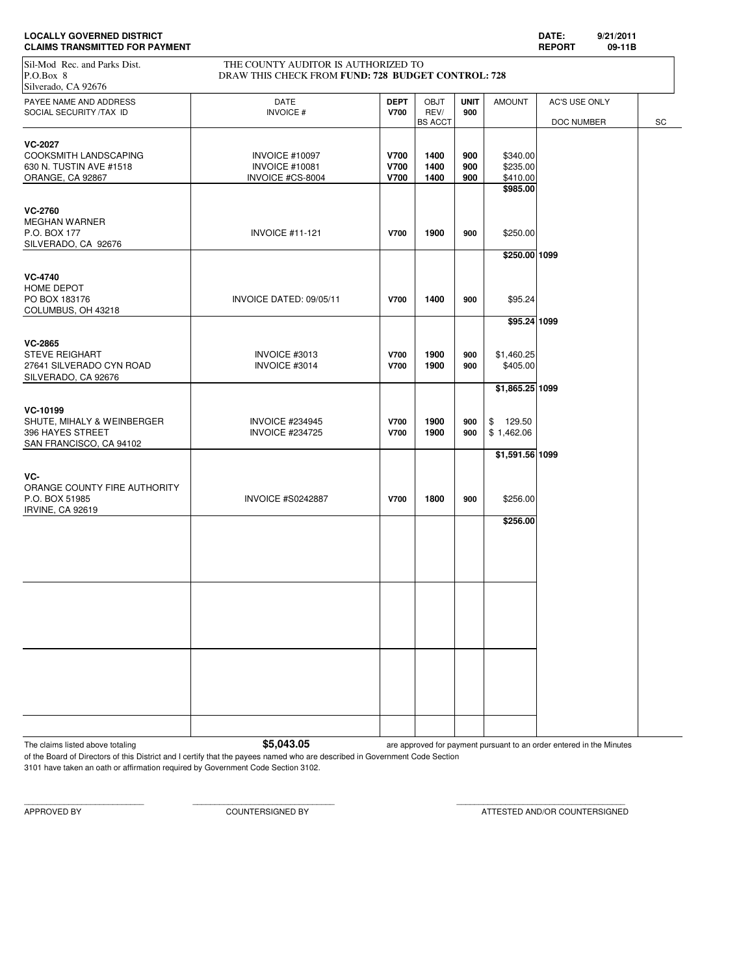| <b>LOCALLY GOVERNED DISTRICT</b>      | <b>DATE</b>  | 9/21/201 |
|---------------------------------------|--------------|----------|
| <b>CLAIMS TRANSMITTED FOR PAYMENT</b> | <b>REPOR</b> | 09-11B   |

| <b>CLAIMS TRANSMITTED FOR PAYMENT</b>                                                  |                                                                                           |                                           |                                       |                    |                                              | <b>REPORT</b>               | 09-11B |    |
|----------------------------------------------------------------------------------------|-------------------------------------------------------------------------------------------|-------------------------------------------|---------------------------------------|--------------------|----------------------------------------------|-----------------------------|--------|----|
| Sil-Mod Rec. and Parks Dist.<br>P.O.Box 8<br>Silverado, CA 92676                       | THE COUNTY AUDITOR IS AUTHORIZED TO<br>DRAW THIS CHECK FROM FUND: 728 BUDGET CONTROL: 728 |                                           |                                       |                    |                                              |                             |        |    |
| PAYEE NAME AND ADDRESS<br>SOCIAL SECURITY /TAX ID                                      | <b>DATE</b><br><b>INVOICE#</b>                                                            | <b>DEPT</b><br><b>V700</b>                | <b>OBJT</b><br>REV/<br><b>BS ACCT</b> | <b>UNIT</b><br>900 | <b>AMOUNT</b>                                | AC'S USE ONLY<br>DOC NUMBER |        | SC |
| <b>VC-2027</b><br>COOKSMITH LANDSCAPING<br>630 N. TUSTIN AVE #1518<br>ORANGE, CA 92867 | INVOICE #10097<br><b>INVOICE #10081</b><br>INVOICE #CS-8004                               | <b>V700</b><br><b>V700</b><br><b>V700</b> | 1400<br>1400<br>1400                  | 900<br>900<br>900  | \$340.00<br>\$235.00<br>\$410.00<br>\$985.00 |                             |        |    |
| <b>VC-2760</b><br>MEGHAN WARNER<br>P.O. BOX 177<br>SILVERADO, CA 92676                 | <b>INVOICE #11-121</b>                                                                    | <b>V700</b>                               | 1900                                  | 900                | \$250.00<br>\$250.00 1099                    |                             |        |    |
| <b>VC-4740</b><br>HOME DEPOT<br>PO BOX 183176<br>COLUMBUS, OH 43218                    | INVOICE DATED: 09/05/11                                                                   | V700                                      | 1400                                  | 900                | \$95.24                                      |                             |        |    |
| VC-2865<br><b>STEVE REIGHART</b><br>27641 SILVERADO CYN ROAD<br>SILVERADO, CA 92676    | INVOICE #3013<br>INVOICE #3014                                                            | <b>V700</b><br><b>V700</b>                | 1900<br>1900                          | 900<br>900         | \$95.24 1099<br>\$1,460.25<br>\$405.00       |                             |        |    |
| VC-10199<br>SHUTE, MIHALY & WEINBERGER<br>396 HAYES STREET<br>SAN FRANCISCO, CA 94102  | <b>INVOICE #234945</b><br><b>INVOICE #234725</b>                                          | <b>V700</b><br><b>V700</b>                | 1900<br>1900                          | 900<br>900         | \$1,865.25 1099<br>\$129.50<br>\$1,462.06    |                             |        |    |
| VC-<br>ORANGE COUNTY FIRE AUTHORITY<br>P.O. BOX 51985<br>IRVINE, CA 92619              | <b>INVOICE #S0242887</b>                                                                  | <b>V700</b>                               | 1800                                  | 900                | \$1,591.56 1099<br>\$256.00                  |                             |        |    |
|                                                                                        |                                                                                           |                                           |                                       |                    | \$256.00                                     |                             |        |    |
|                                                                                        |                                                                                           |                                           |                                       |                    |                                              |                             |        |    |
|                                                                                        |                                                                                           |                                           |                                       |                    |                                              |                             |        |    |

The claims listed above totaling **1996 1997 12:30 S5,043.05** are approved for payment pursuant to an order entered in the Minutes

of the Board of Directors of this District and I certify that the payees named who are described in Government Code Section 3101 have taken an oath or affirmation required by Government Code Section 3102.

APPROVED BY COUNTERSIGNED BY ATTESTED AND/OR COUNTERSIGNED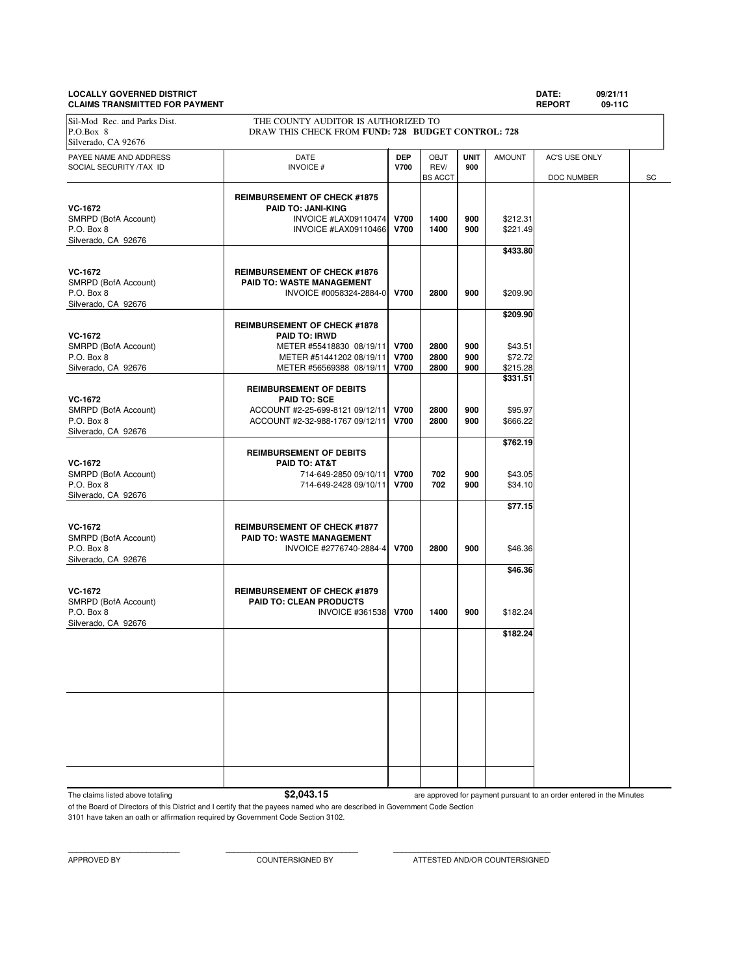# **LOCALLY GOVERNED DISTRICT DATE: 09/21/11**

**CLAIMS TRANSMITTED FOR PAYMENT REPORT 09-11C** PAYEE NAME AND ADDRESS **DATE DEP** OBJT **UNIT** AMOUNT AC'S USE ONLY SOCIAL SECURITY /TAX ID **INVOICE # V700** REV/ **900 REV/ 900 BS** ACCT DOC NUMBER SC **REIMBURSEMENT OF CHECK #1875 VC-1672**<br> **PAID TO: JANI-KING**<br>
INVOICE #LAX09110474 SMRPD (BofA Account) INVOICE #LAX09110474 **V700 1400 900** \$212.31 P.O. Box 8 **INVOICE #LAX09110466 V700** 1400 | 900 | \$221.49 Silverado, CA 92676 **\$433.80 VC-1672 REIMBURSEMENT OF CHECK #1876**<br> **RAID TO: WASTE MANAGEMENT** SMRPD (BofA Account) **PAID TO: WASTE MANAGEMENT**<br>P.O. Box 8 **PAID TO: WASTE MANAGEMENT**<br>INVOICE #0058324-288 P.O. Box 8 INVOICE #0058324-2884-0 **V700 2800 900** \$209.90 Silverado, CA 92676 **\$209.90 REIMBURSEMENT OF CHECK #1878 VC-1672 PAID TO: IRWD** SMRPD (BofA Account) **METER #55418830 08/19/11 V700 | 2800 | 900 | \$43.51**<br>P.O. Box 8 | **METER #51441202 08/19/11** | V700 | 2800 | 900 | \$72.72 P.O. Box 8 **METER #51441202 08/19/11 V700** 2800 900 \$72.72<br>Silverado, CA 92676 METER #56569388 08/19/11 **V700 2800 900** \$215.28 METER #56569388 08/19/11 **\$331.51 REIMBURSEMENT OF DEBITS VC-1672 PAID TO: SCE** SMRPD (BofA Account)  $ACCOUNT$  #2-25-699-8121 09/12/11 **V700** 2800 900 \$95.97<br>P.O. Box 8 **8 666.22** ACCOUNT #2-32-988-1767 09/12/11 **V700** 2800 900 \$666.22 P.O. Box 8 ACCOUNT #2-32-988-1767 09/12/11 **V700 2800 900** \$666.22 Silverado, CA 92676 **\$762.19 REIMBURSEMENT OF DEBITS VC-1672 PAID TO: AT&T** SMRPD (BofA Account) 2010 114-649-2850 09/10/11 **700 702 900 \$43.05**<br>P.O. Box 8 702 900 \$34.10 P.O. Box 8 714-649-2428 09/10/11 **V700 702 900** \$34.10 Silverado, CA 92676 **\$77.15 VC-1672 REIMBURSEMENT OF CHECK #1877**<br> **REIMBURSEMENT O: WASTE MANAGEMENT PAID TO: WASTE MANAGEMENT** P.O. Box 8 INVOICE #2776740-2884-4 **V700 2800 900** \$46.36 Silverado, CA 92676 **\$46.36 VC-1672 REIMBURSEMENT OF CHECK #1879**<br> **REIMBURSEMENT OF CHECK #1879**<br> **RAID TO: CLEAN PRODUCTS** SMRPD (BofA Account) **PAID TO: CLEAN PRODUCTS**<br>P.O. Box 8 **INVOICE** #31 **INVOICE #361538 V700 1400 900 \$182.24** Silverado, CA 92676 **\$182.24** Sil-Mod Rec. and Parks Dist. THE COUNTY AUDITOR IS AUTHORIZED TO P.O.Box 8 DRAW THIS CHECK FROM **FUND: 728 BUDGET CONTROL: 728** Silverado, CA 92676

The claims listed above totaling **\$2,043.15** 

are approved for payment pursuant to an order entered in the Minutes

of the Board of Directors of this District and I certify that the payees named who are described in Government Code Section

3101 have taken an oath or affirmation required by Government Code Section 3102.

APPROVED BY COUNTERSIGNED BY ATTESTED AND/OR COUNTERSIGNED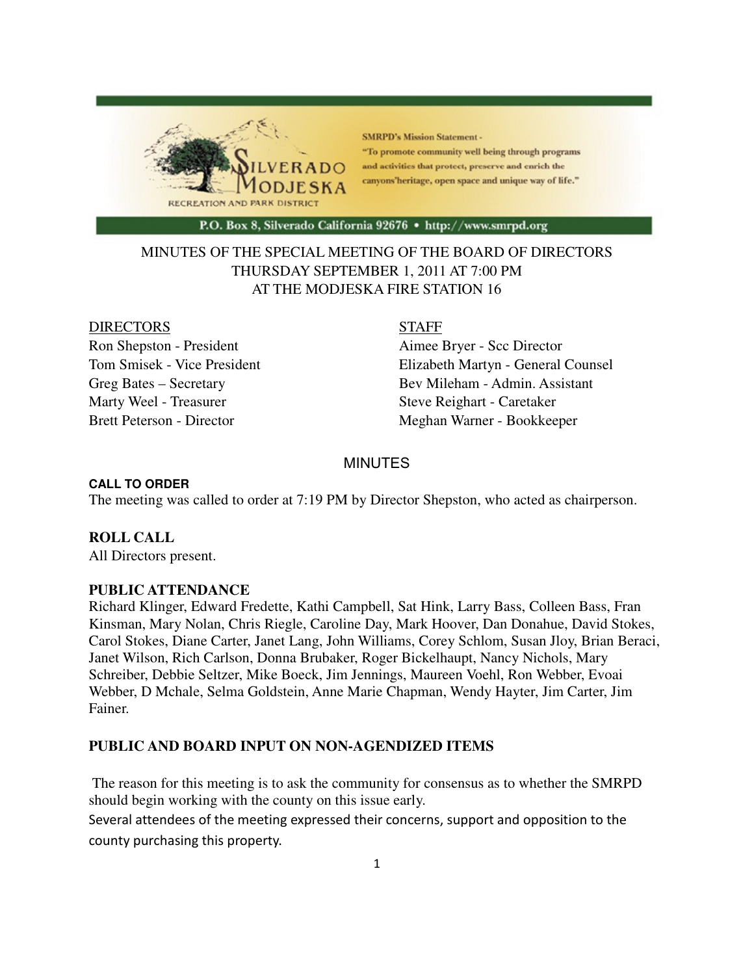

**SMRPD's Mission Statement -**"To promote community well being through programs and activities that protect, preserve and enrich the canyons'heritage, open space and unique way of life."

P.O. Box 8, Silverado California 92676 · http://www.smrpd.org

# MINUTES OF THE SPECIAL MEETING OF THE BOARD OF DIRECTORS THURSDAY SEPTEMBER 1, 2011 AT 7:00 PM AT THE MODJESKA FIRE STATION 16

#### DIRECTORS STAFF

Ron Shepston - President Aimee Bryer - Scc Director Marty Weel - Treasurer Steve Reighart - Caretaker

Tom Smisek - Vice President Elizabeth Martyn - General Counsel Greg Bates – Secretary Bev Mileham - Admin. Assistant Brett Peterson - Director Meghan Warner - Bookkeeper

# MINUTES

#### **CALL TO ORDER**

The meeting was called to order at 7:19 PM by Director Shepston, who acted as chairperson.

#### **ROLL CALL**

All Directors present.

#### **PUBLIC ATTENDANCE**

Richard Klinger, Edward Fredette, Kathi Campbell, Sat Hink, Larry Bass, Colleen Bass, Fran Kinsman, Mary Nolan, Chris Riegle, Caroline Day, Mark Hoover, Dan Donahue, David Stokes, Carol Stokes, Diane Carter, Janet Lang, John Williams, Corey Schlom, Susan Jloy, Brian Beraci, Janet Wilson, Rich Carlson, Donna Brubaker, Roger Bickelhaupt, Nancy Nichols, Mary Schreiber, Debbie Seltzer, Mike Boeck, Jim Jennings, Maureen Voehl, Ron Webber, Evoai Webber, D Mchale, Selma Goldstein, Anne Marie Chapman, Wendy Hayter, Jim Carter, Jim Fainer.

#### **PUBLIC AND BOARD INPUT ON NON-AGENDIZED ITEMS**

 The reason for this meeting is to ask the community for consensus as to whether the SMRPD should begin working with the county on this issue early.

Several attendees of the meeting expressed their concerns, support and opposition to the county purchasing this property.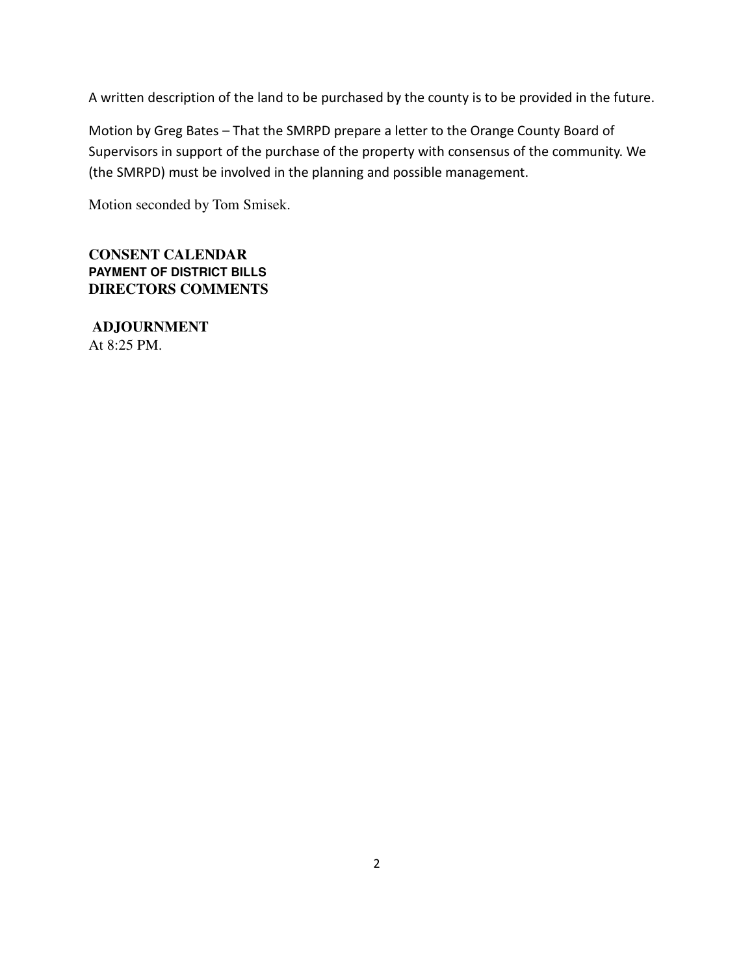A written description of the land to be purchased by the county is to be provided in the future.

Motion by Greg Bates – That the SMRPD prepare a letter to the Orange County Board of Supervisors in support of the purchase of the property with consensus of the community. We (the SMRPD) must be involved in the planning and possible management.

Motion seconded by Tom Smisek.

**CONSENT CALENDAR PAYMENT OF DISTRICT BILLS DIRECTORS COMMENTS** 

**ADJOURNMENT**  At 8:25 PM.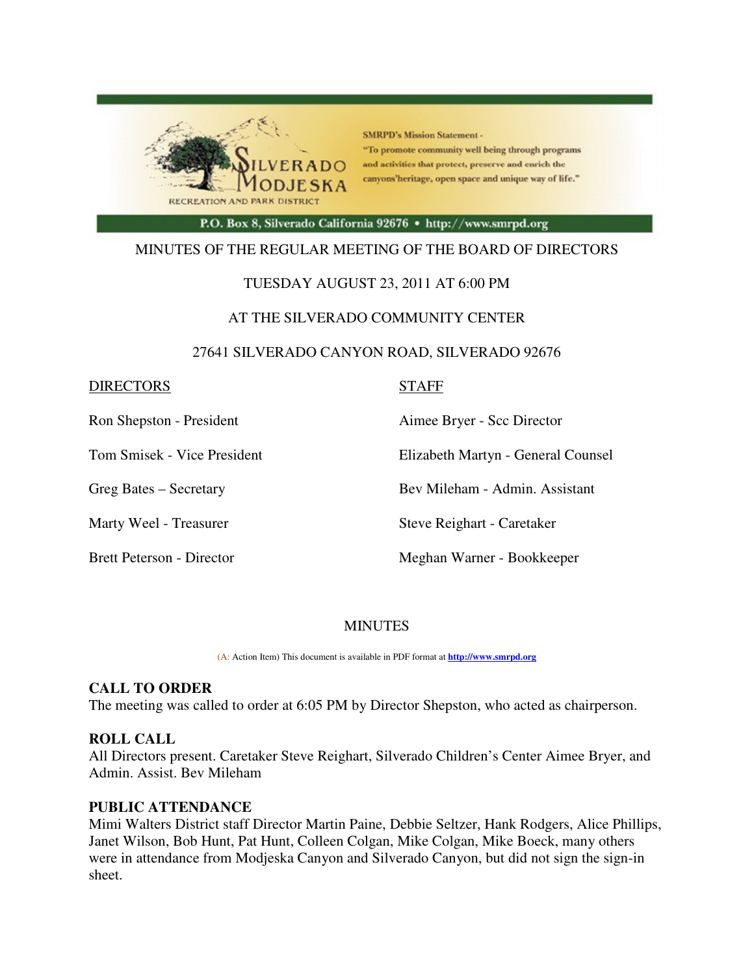

**SMRPD's Mission Statement -**"To promote community well being through programs and activities that protect, preserve and enrich the canyons'heritage, open space and unique way of life."

P.O. Box 8, Silverado California 92676 · http://www.smrpd.org

### MINUTES OF THE REGULAR MEETING OF THE BOARD OF DIRECTORS

### TUESDAY AUGUST 23, 2011 AT 6:00 PM

#### AT THE SILVERADO COMMUNITY CENTER

#### 27641 SILVERADO CANYON ROAD, SILVERADO 92676

#### DIRECTORS STAFF

Ron Shepston - President **Aimee Bryer** - Scc Director

Tom Smisek - Vice President Elizabeth Martyn - General Counsel

Greg Bates – Secretary Bev Mileham - Admin. Assistant

Marty Weel - Treasurer Steve Reighart - Caretaker

Brett Peterson - Director Meghan Warner - Bookkeeper

### **MINUTES**

(A: Action Item) This document is available in PDF format at **http://www.smrpd.org** 

### **CALL TO ORDER**

The meeting was called to order at 6:05 PM by Director Shepston, who acted as chairperson.

#### **ROLL CALL**

All Directors present. Caretaker Steve Reighart, Silverado Children's Center Aimee Bryer, and Admin. Assist. Bev Mileham

### **PUBLIC ATTENDANCE**

Mimi Walters District staff Director Martin Paine, Debbie Seltzer, Hank Rodgers, Alice Phillips, Janet Wilson, Bob Hunt, Pat Hunt, Colleen Colgan, Mike Colgan, Mike Boeck, many others were in attendance from Modjeska Canyon and Silverado Canyon, but did not sign the sign-in sheet.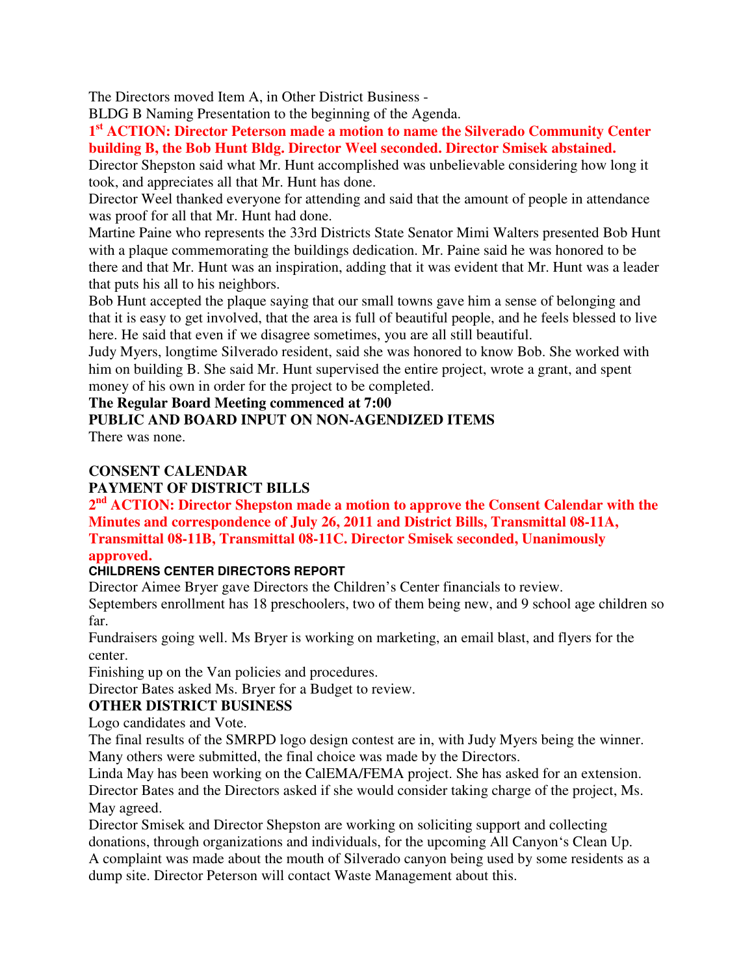The Directors moved Item A, in Other District Business -

BLDG B Naming Presentation to the beginning of the Agenda.

**1 st ACTION: Director Peterson made a motion to name the Silverado Community Center building B, the Bob Hunt Bldg. Director Weel seconded. Director Smisek abstained.** 

Director Shepston said what Mr. Hunt accomplished was unbelievable considering how long it took, and appreciates all that Mr. Hunt has done.

Director Weel thanked everyone for attending and said that the amount of people in attendance was proof for all that Mr. Hunt had done.

Martine Paine who represents the 33rd Districts State Senator Mimi Walters presented Bob Hunt with a plaque commemorating the buildings dedication. Mr. Paine said he was honored to be there and that Mr. Hunt was an inspiration, adding that it was evident that Mr. Hunt was a leader that puts his all to his neighbors.

Bob Hunt accepted the plaque saying that our small towns gave him a sense of belonging and that it is easy to get involved, that the area is full of beautiful people, and he feels blessed to live here. He said that even if we disagree sometimes, you are all still beautiful.

Judy Myers, longtime Silverado resident, said she was honored to know Bob. She worked with him on building B. She said Mr. Hunt supervised the entire project, wrote a grant, and spent money of his own in order for the project to be completed.

# **The Regular Board Meeting commenced at 7:00**

# **PUBLIC AND BOARD INPUT ON NON-AGENDIZED ITEMS**

There was none.

# **CONSENT CALENDAR**

# **PAYMENT OF DISTRICT BILLS**

**2 nd ACTION: Director Shepston made a motion to approve the Consent Calendar with the Minutes and correspondence of July 26, 2011 and District Bills, Transmittal 08-11A, Transmittal 08-11B, Transmittal 08-11C. Director Smisek seconded, Unanimously** 

# **approved.**

# **CHILDRENS CENTER DIRECTORS REPORT**

Director Aimee Bryer gave Directors the Children's Center financials to review.

Septembers enrollment has 18 preschoolers, two of them being new, and 9 school age children so far.

Fundraisers going well. Ms Bryer is working on marketing, an email blast, and flyers for the center.

Finishing up on the Van policies and procedures.

Director Bates asked Ms. Bryer for a Budget to review.

# **OTHER DISTRICT BUSINESS**

Logo candidates and Vote.

The final results of the SMRPD logo design contest are in, with Judy Myers being the winner. Many others were submitted, the final choice was made by the Directors.

Linda May has been working on the CalEMA/FEMA project. She has asked for an extension. Director Bates and the Directors asked if she would consider taking charge of the project, Ms. May agreed.

Director Smisek and Director Shepston are working on soliciting support and collecting donations, through organizations and individuals, for the upcoming All Canyon's Clean Up.

A complaint was made about the mouth of Silverado canyon being used by some residents as a dump site. Director Peterson will contact Waste Management about this.